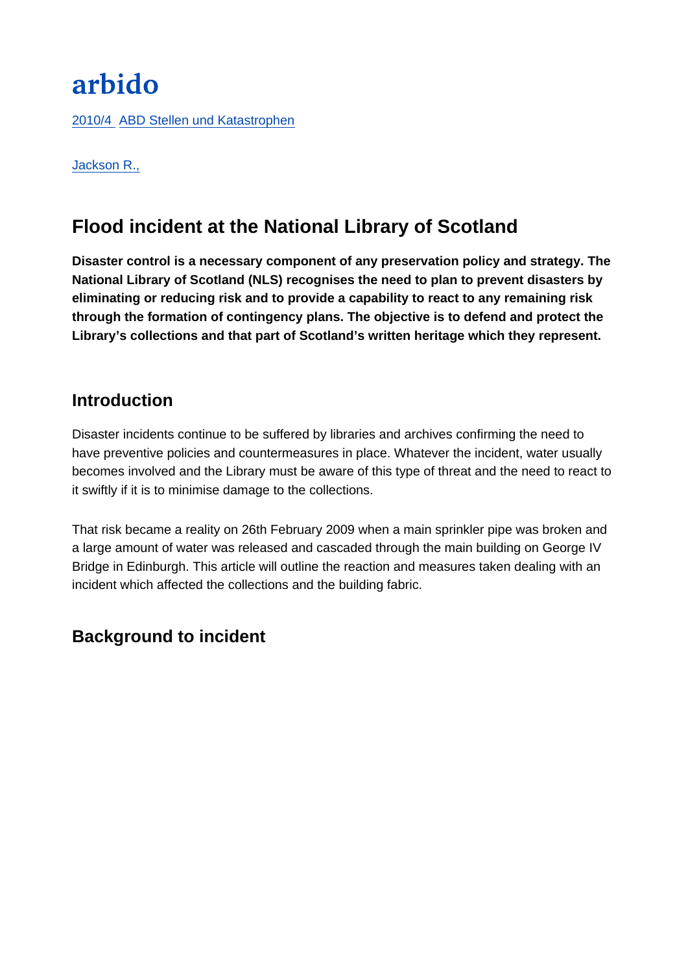# arbido

[2010/4 ABD Stellen und Katastrophen](https://arbido.ch/fr/edition-article/2010-1/abd-stellen-und-katastrophen)

#### [Jackson R.,](https://arbido.ch/fr/auteurs/jackson-r)

## Flood incident at the National Library of Scotland

Disaster control is a necessary component of any preservation policy and strategy. The National Library of Scotland (NLS) recognises the need to plan to prevent disasters by eliminating or reducing risk and to provide a capability to react to any remaining risk through the formation of contingency plans. The objective is to defend and protect the Library's collections and that part of Scotland's written heritage which they represent.

## Introduction

Disaster incidents continue to be suffered by libraries and archives confirming the need to have preventive policies and countermeasures in place. Whatever the incident, water usually becomes involved and the Library must be aware of this type of threat and the need to react to it swiftly if it is to minimise damage to the collections.

That risk became a reality on 26th February 2009 when a main sprinkler pipe was broken and a large amount of water was released and cascaded through the main building on George IV Bridge in Edinburgh. This article will outline the reaction and measures taken dealing with an incident which affected the collections and the building fabric.

## Background to incident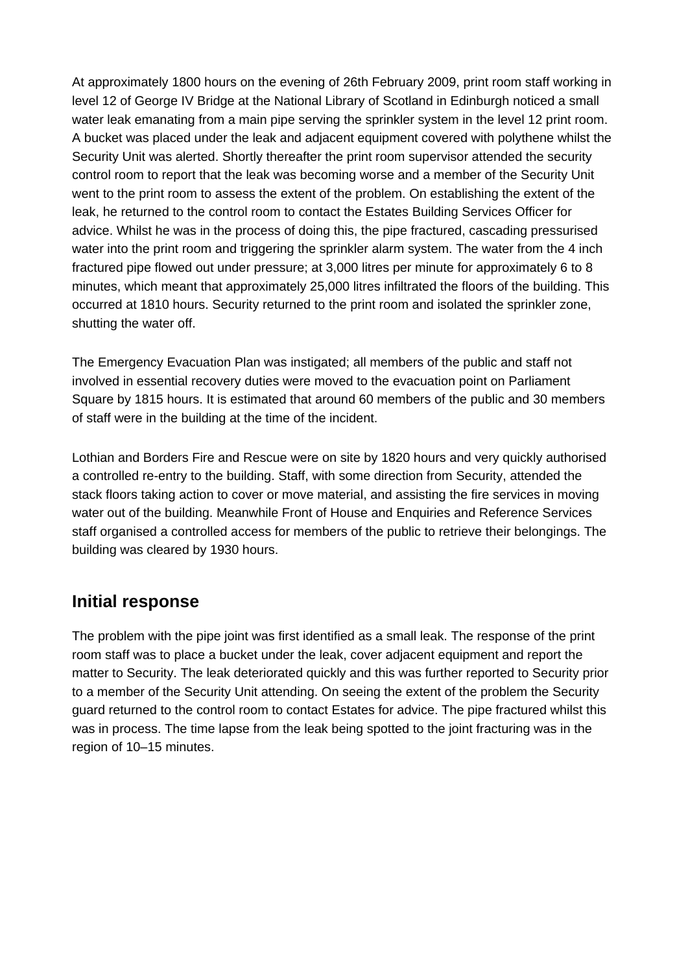At approximately 1800 hours on the evening of 26th February 2009, print room staff working in level 12 of George IV Bridge at the National Library of Scotland in Edinburgh noticed a small water leak emanating from a main pipe serving the sprinkler system in the level 12 print room. A bucket was placed under the leak and adjacent equipment covered with polythene whilst the Security Unit was alerted. Shortly thereafter the print room supervisor attended the security control room to report that the leak was becoming worse and a member of the Security Unit went to the print room to assess the extent of the problem. On establishing the extent of the leak, he returned to the control room to contact the Estates Building Services Officer for advice. Whilst he was in the process of doing this, the pipe fractured, cascading pressurised water into the print room and triggering the sprinkler alarm system. The water from the 4 inch fractured pipe flowed out under pressure; at 3,000 litres per minute for approximately 6 to 8 minutes, which meant that approximately 25,000 litres infiltrated the floors of the building. This occurred at 1810 hours. Security returned to the print room and isolated the sprinkler zone, shutting the water off.

The Emergency Evacuation Plan was instigated; all members of the public and staff not involved in essential recovery duties were moved to the evacuation point on Parliament Square by 1815 hours. It is estimated that around 60 members of the public and 30 members of staff were in the building at the time of the incident.

Lothian and Borders Fire and Rescue were on site by 1820 hours and very quickly authorised a controlled re-entry to the building. Staff, with some direction from Security, attended the stack floors taking action to cover or move material, and assisting the fire services in moving water out of the building. Meanwhile Front of House and Enquiries and Reference Services staff organised a controlled access for members of the public to retrieve their belongings. The building was cleared by 1930 hours.

## **Initial response**

The problem with the pipe joint was first identified as a small leak. The response of the print room staff was to place a bucket under the leak, cover adjacent equipment and report the matter to Security. The leak deteriorated quickly and this was further reported to Security prior to a member of the Security Unit attending. On seeing the extent of the problem the Security guard returned to the control room to contact Estates for advice. The pipe fractured whilst this was in process. The time lapse from the leak being spotted to the joint fracturing was in the region of 10–15 minutes.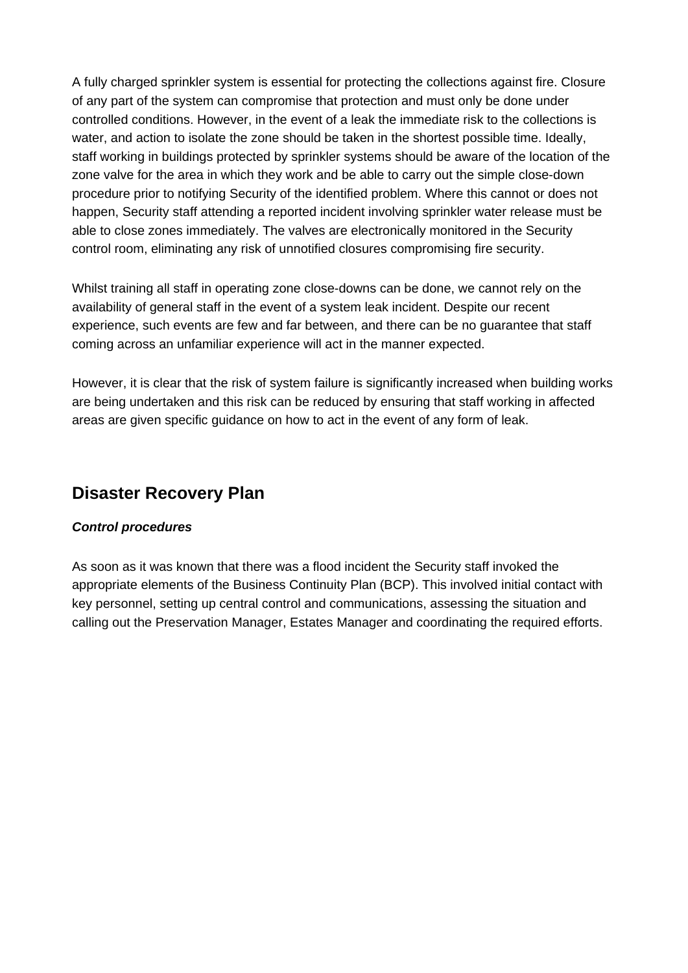A fully charged sprinkler system is essential for protecting the collections against fire. Closure of any part of the system can compromise that protection and must only be done under controlled conditions. However, in the event of a leak the immediate risk to the collections is water, and action to isolate the zone should be taken in the shortest possible time. Ideally, staff working in buildings protected by sprinkler systems should be aware of the location of the zone valve for the area in which they work and be able to carry out the simple close-down procedure prior to notifying Security of the identified problem. Where this cannot or does not happen, Security staff attending a reported incident involving sprinkler water release must be able to close zones immediately. The valves are electronically monitored in the Security control room, eliminating any risk of unnotified closures compromising fire security.

Whilst training all staff in operating zone close-downs can be done, we cannot rely on the availability of general staff in the event of a system leak incident. Despite our recent experience, such events are few and far between, and there can be no guarantee that staff coming across an unfamiliar experience will act in the manner expected.

However, it is clear that the risk of system failure is significantly increased when building works are being undertaken and this risk can be reduced by ensuring that staff working in affected areas are given specific guidance on how to act in the event of any form of leak.

## **Disaster Recovery Plan**

#### **Control procedures**

As soon as it was known that there was a flood incident the Security staff invoked the appropriate elements of the Business Continuity Plan (BCP). This involved initial contact with key personnel, setting up central control and communications, assessing the situation and calling out the Preservation Manager, Estates Manager and coordinating the required efforts.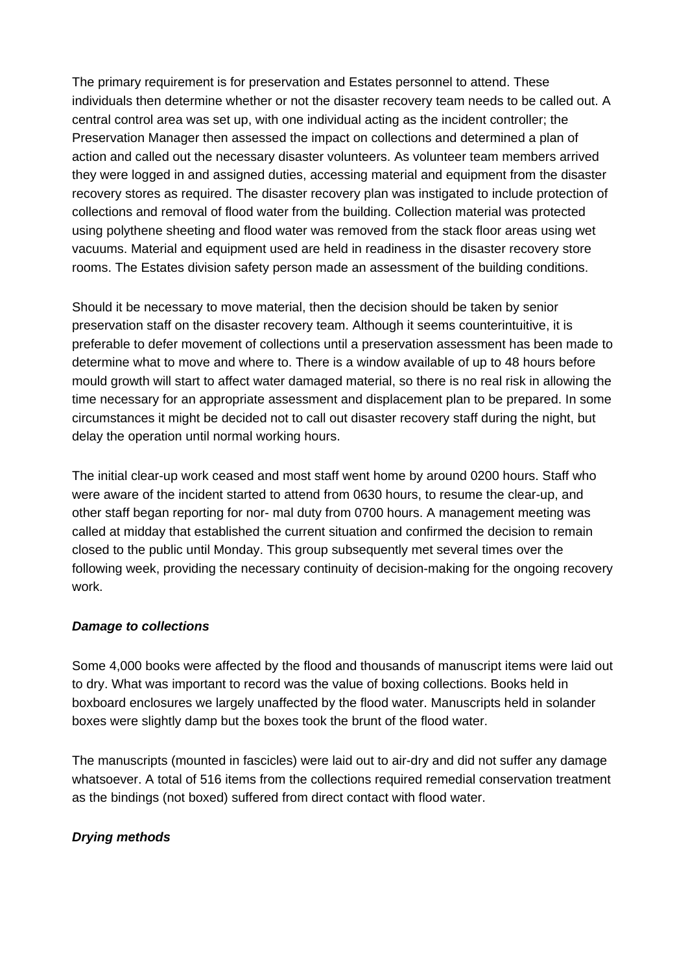The primary requirement is for preservation and Estates personnel to attend. These individuals then determine whether or not the disaster recovery team needs to be called out. A central control area was set up, with one individual acting as the incident controller; the Preservation Manager then assessed the impact on collections and determined a plan of action and called out the necessary disaster volunteers. As volunteer team members arrived they were logged in and assigned duties, accessing material and equipment from the disaster recovery stores as required. The disaster recovery plan was instigated to include protection of collections and removal of flood water from the building. Collection material was protected using polythene sheeting and flood water was removed from the stack floor areas using wet vacuums. Material and equipment used are held in readiness in the disaster recovery store rooms. The Estates division safety person made an assessment of the building conditions.

Should it be necessary to move material, then the decision should be taken by senior preservation staff on the disaster recovery team. Although it seems counterintuitive, it is preferable to defer movement of collections until a preservation assessment has been made to determine what to move and where to. There is a window available of up to 48 hours before mould growth will start to affect water damaged material, so there is no real risk in allowing the time necessary for an appropriate assessment and displacement plan to be prepared. In some circumstances it might be decided not to call out disaster recovery staff during the night, but delay the operation until normal working hours.

The initial clear-up work ceased and most staff went home by around 0200 hours. Staff who were aware of the incident started to attend from 0630 hours, to resume the clear-up, and other staff began reporting for nor- mal duty from 0700 hours. A management meeting was called at midday that established the current situation and confirmed the decision to remain closed to the public until Monday. This group subsequently met several times over the following week, providing the necessary continuity of decision-making for the ongoing recovery work.

#### **Damage to collections**

Some 4,000 books were affected by the flood and thousands of manuscript items were laid out to dry. What was important to record was the value of boxing collections. Books held in boxboard enclosures we largely unaffected by the flood water. Manuscripts held in solander boxes were slightly damp but the boxes took the brunt of the flood water.

The manuscripts (mounted in fascicles) were laid out to air-dry and did not suffer any damage whatsoever. A total of 516 items from the collections required remedial conservation treatment as the bindings (not boxed) suffered from direct contact with flood water.

#### **Drying methods**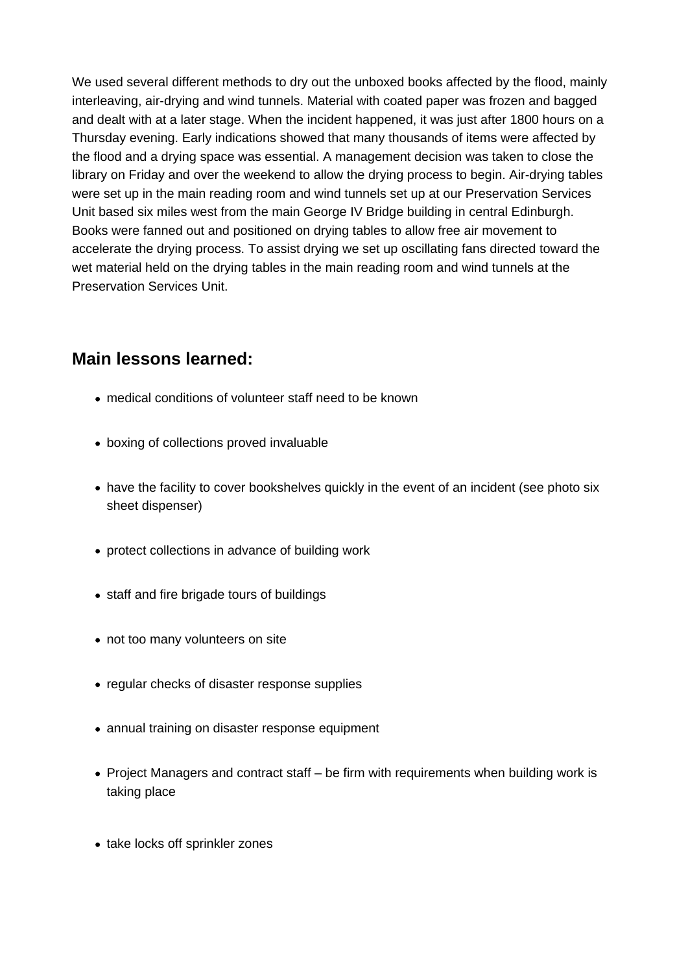We used several different methods to dry out the unboxed books affected by the flood, mainly interleaving, air-drying and wind tunnels. Material with coated paper was frozen and bagged and dealt with at a later stage. When the incident happened, it was just after 1800 hours on a Thursday evening. Early indications showed that many thousands of items were affected by the flood and a drying space was essential. A management decision was taken to close the library on Friday and over the weekend to allow the drying process to begin. Air-drying tables were set up in the main reading room and wind tunnels set up at our Preservation Services Unit based six miles west from the main George IV Bridge building in central Edinburgh. Books were fanned out and positioned on drying tables to allow free air movement to accelerate the drying process. To assist drying we set up oscillating fans directed toward the wet material held on the drying tables in the main reading room and wind tunnels at the Preservation Services Unit.

## **Main lessons learned:**

- medical conditions of volunteer staff need to be known
- boxing of collections proved invaluable
- have the facility to cover bookshelves quickly in the event of an incident (see photo six sheet dispenser)
- protect collections in advance of building work
- staff and fire brigade tours of buildings
- not too many volunteers on site
- regular checks of disaster response supplies
- annual training on disaster response equipment
- Project Managers and contract staff be firm with requirements when building work is taking place
- take locks off sprinkler zones